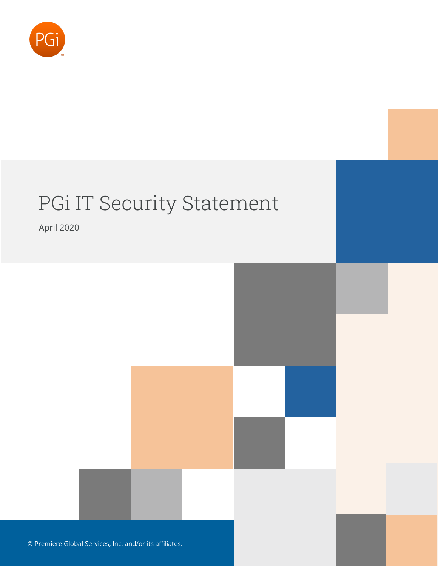

# PGi IT Security Statement

April 2020

© Premiere Global Services, Inc. and/or its affiliates.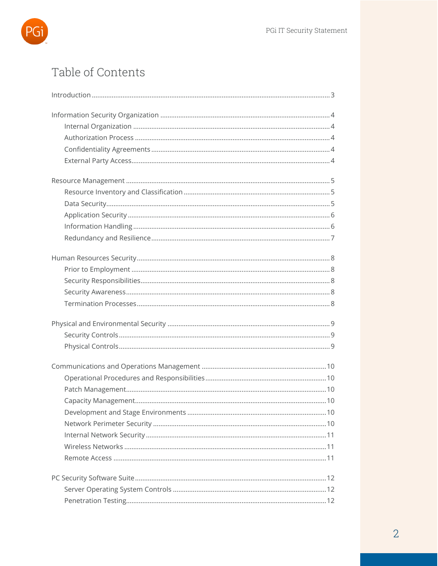

# Table of Contents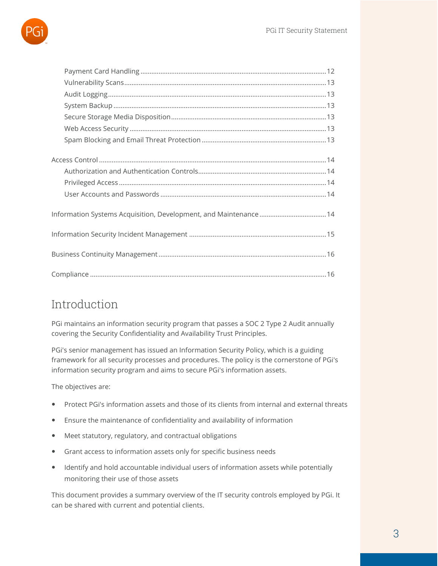

# <span id="page-2-0"></span>Introduction

PGi maintains an information security program that passes a SOC 2 Type 2 Audit annually covering the Security Confidentiality and Availability Trust Principles.

PGi's senior management has issued an Information Security Policy, which is a guiding framework for all security processes and procedures. The policy is the cornerstone of PGi's information security program and aims to secure PGi's information assets.

The objectives are:

- Protect PGi's information assets and those of its clients from internal and external threats
- Ensure the maintenance of confidentiality and availability of information
- Meet statutory, regulatory, and contractual obligations
- Grant access to information assets only for specific business needs
- Identify and hold accountable individual users of information assets while potentially monitoring their use of those assets

This document provides a summary overview of the IT security controls employed by PGi. It can be shared with current and potential clients.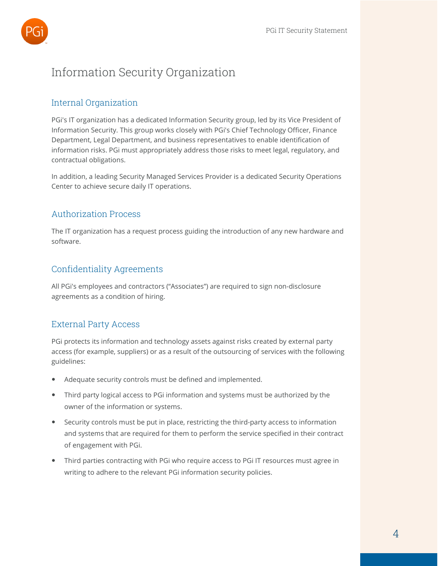

# <span id="page-3-1"></span><span id="page-3-0"></span>Information Security Organization

#### Internal Organization

PGi's IT organization has a dedicated Information Security group, led by its Vice President of Information Security. This group works closely with PGi's Chief Technology Officer, Finance Department, Legal Department, and business representatives to enable identification of information risks. PGi must appropriately address those risks to meet legal, regulatory, and contractual obligations.

In addition, a leading Security Managed Services Provider is a dedicated Security Operations Center to achieve secure daily IT operations.

#### <span id="page-3-2"></span>Authorization Process

The IT organization has a request process guiding the introduction of any new hardware and software.

#### <span id="page-3-3"></span>Confidentiality Agreements

All PGi's employees and contractors ("Associates") are required to sign non-disclosure agreements as a condition of hiring.

#### <span id="page-3-4"></span>External Party Access

PGi protects its information and technology assets against risks created by external party access (for example, suppliers) or as a result of the outsourcing of services with the following guidelines:

- Adequate security controls must be defined and implemented.
- Third party logical access to PGi information and systems must be authorized by the owner of the information or systems.
- Security controls must be put in place, restricting the third-party access to information and systems that are required for them to perform the service specified in their contract of engagement with PGi.
- Third parties contracting with PGi who require access to PGi IT resources must agree in writing to adhere to the relevant PGi information security policies.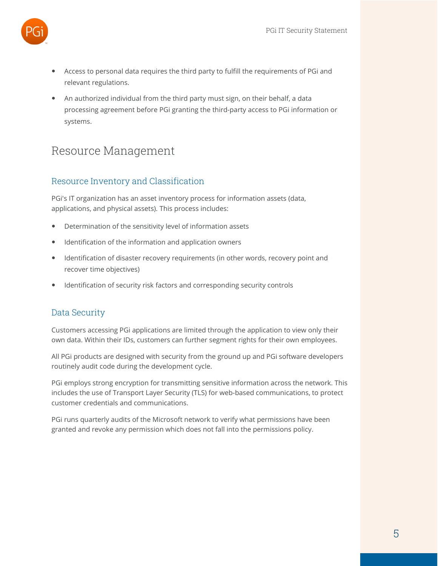

- Access to personal data requires the third party to fulfill the requirements of PGi and relevant regulations.
- An authorized individual from the third party must sign, on their behalf, a data processing agreement before PGi granting the third-party access to PGi information or systems.

## <span id="page-4-1"></span><span id="page-4-0"></span>Resource Management

#### Resource Inventory and Classification

PGi's IT organization has an asset inventory process for information assets (data, applications, and physical assets). This process includes:

- Determination of the sensitivity level of information assets
- Identification of the information and application owners
- Identification of disaster recovery requirements (in other words, recovery point and recover time objectives)
- <span id="page-4-2"></span>Identification of security risk factors and corresponding security controls

#### Data Security

Customers accessing PGi applications are limited through the application to view only their own data. Within their IDs, customers can further segment rights for their own employees.

All PGi products are designed with security from the ground up and PGi software developers routinely audit code during the development cycle.

PGi employs strong encryption for transmitting sensitive information across the network. This includes the use of Transport Layer Security (TLS) for web-based communications, to protect customer credentials and communications.

PGi runs quarterly audits of the Microsoft network to verify what permissions have been granted and revoke any permission which does not fall into the permissions policy.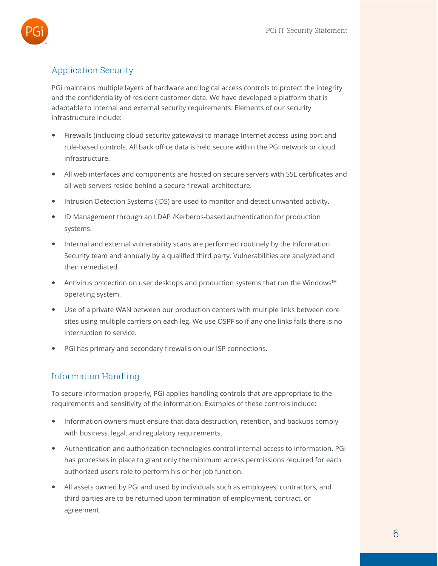

### <span id="page-5-0"></span>Application Security

PGi maintains multiple layers of hardware and logical access controls to protect the integrity and the confidentiality of resident customer data. We have developed a platform that is adaptable to internal and external security requirements. Elements of our security infrastructure include:

- Firewalls (including cloud security gateways) to manage Internet access using port and rule-based controls. All back office data is held secure within the PGi network or cloud infrastructure.
- All web interfaces and components are hosted on secure servers with SSL certificates and all web servers reside behind a secure firewall architecture.
- Intrusion Detection Systems (IDS) are used to monitor and detect unwanted activity.
- ID Management through an LDAP /Kerberos-based authentication for production systems.
- Internal and external vulnerability scans are performed routinely by the Information Security team and annually by a qualified third party. Vulnerabilities are analyzed and then remediated.
- Antivirus protection on user desktops and production systems that run the Windows™ operating system.
- Use of a private WAN between our production centers with multiple links between core sites using multiple carriers on each leg. We use OSPF so if any one links fails there is no interruption to service.
- <span id="page-5-1"></span>PGi has primary and secondary firewalls on our ISP connections.

#### Information Handling

To secure information properly, PGi applies handling controls that are appropriate to the requirements and sensitivity of the information. Examples of these controls include:

- Information owners must ensure that data destruction, retention, and backups comply with business, legal, and regulatory requirements.
- Authentication and authorization technologies control internal access to information. PGi has processes in place to grant only the minimum access permissions required for each authorized user's role to perform his or her job function.
- All assets owned by PGi and used by individuals such as employees, contractors, and third parties are to be returned upon termination of employment, contract, or agreement.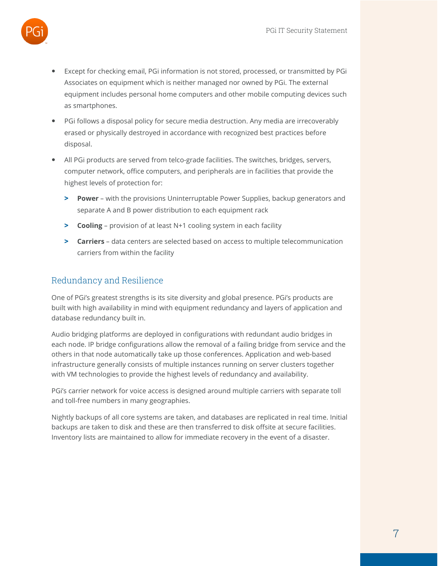

- Except for checking email, PGi information is not stored, processed, or transmitted by PGi Associates on equipment which is neither managed nor owned by PGi. The external equipment includes personal home computers and other mobile computing devices such as smartphones.
- PGi follows a disposal policy for secure media destruction. Any media are irrecoverably erased or physically destroyed in accordance with recognized best practices before disposal.
- All PGi products are served from telco-grade facilities. The switches, bridges, servers, computer network, office computers, and peripherals are in facilities that provide the highest levels of protection for:
	- **> Power** with the provisions Uninterruptable Power Supplies, backup generators and separate A and B power distribution to each equipment rack
	- **> Cooling** provision of at least N+1 cooling system in each facility
	- **> Carriers** data centers are selected based on access to multiple telecommunication carriers from within the facility

#### <span id="page-6-0"></span>Redundancy and Resilience

One of PGi's greatest strengths is its site diversity and global presence. PGi's products are built with high availability in mind with equipment redundancy and layers of application and database redundancy built in.

Audio bridging platforms are deployed in configurations with redundant audio bridges in each node. IP bridge configurations allow the removal of a failing bridge from service and the others in that node automatically take up those conferences. Application and web-based infrastructure generally consists of multiple instances running on server clusters together with VM technologies to provide the highest levels of redundancy and availability.

PGi's carrier network for voice access is designed around multiple carriers with separate toll and toll-free numbers in many geographies.

Nightly backups of all core systems are taken, and databases are replicated in real time. Initial backups are taken to disk and these are then transferred to disk offsite at secure facilities. Inventory lists are maintained to allow for immediate recovery in the event of a disaster.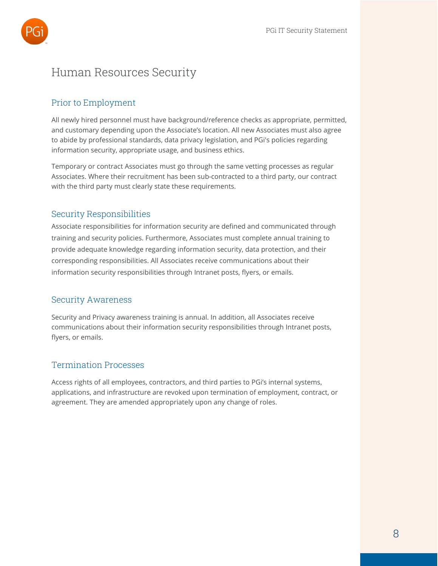

## <span id="page-7-1"></span><span id="page-7-0"></span>Human Resources Security

#### Prior to Employment

All newly hired personnel must have background/reference checks as appropriate, permitted, and customary depending upon the Associate's location. All new Associates must also agree to abide by professional standards, data privacy legislation, and PGi's policies regarding information security, appropriate usage, and business ethics.

Temporary or contract Associates must go through the same vetting processes as regular Associates. Where their recruitment has been sub-contracted to a third party, our contract with the third party must clearly state these requirements.

#### <span id="page-7-2"></span>Security Responsibilities

Associate responsibilities for information security are defined and communicated through training and security policies. Furthermore, Associates must complete annual training to provide adequate knowledge regarding information security, data protection, and their corresponding responsibilities. All Associates receive communications about their information security responsibilities through Intranet posts, flyers, or emails.

#### <span id="page-7-3"></span>Security Awareness

Security and Privacy awareness training is annual. In addition, all Associates receive communications about their information security responsibilities through Intranet posts, flyers, or emails.

#### <span id="page-7-4"></span>Termination Processes

Access rights of all employees, contractors, and third parties to PGi's internal systems, applications, and infrastructure are revoked upon termination of employment, contract, or agreement. They are amended appropriately upon any change of roles.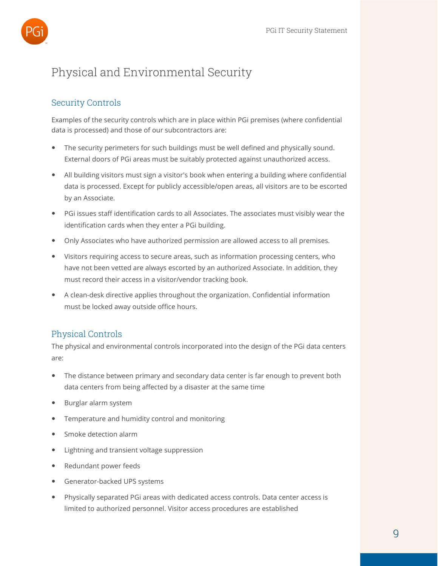

# <span id="page-8-1"></span><span id="page-8-0"></span>Physical and Environmental Security

#### Security Controls

Examples of the security controls which are in place within PGi premises (where confidential data is processed) and those of our subcontractors are:

- The security perimeters for such buildings must be well defined and physically sound. External doors of PGi areas must be suitably protected against unauthorized access.
- All building visitors must sign a visitor's book when entering a building where confidential data is processed. Except for publicly accessible/open areas, all visitors are to be escorted by an Associate.
- PGi issues staff identification cards to all Associates. The associates must visibly wear the identification cards when they enter a PGi building.
- Only Associates who have authorized permission are allowed access to all premises.
- Visitors requiring access to secure areas, such as information processing centers, who have not been vetted are always escorted by an authorized Associate. In addition, they must record their access in a visitor/vendor tracking book.
- A clean-desk directive applies throughout the organization. Confidential information must be locked away outside office hours.

#### <span id="page-8-2"></span>Physical Controls

The physical and environmental controls incorporated into the design of the PGi data centers are:

- The distance between primary and secondary data center is far enough to prevent both data centers from being affected by a disaster at the same time
- Burglar alarm system
- Temperature and humidity control and monitoring
- Smoke detection alarm
- Lightning and transient voltage suppression
- Redundant power feeds
- Generator-backed UPS systems
- Physically separated PGi areas with dedicated access controls. Data center access is limited to authorized personnel. Visitor access procedures are established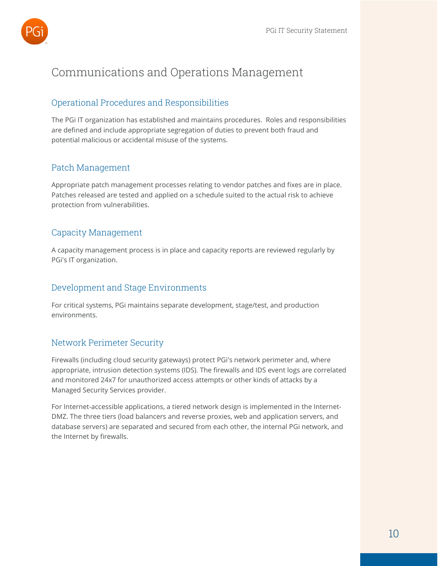

# <span id="page-9-1"></span><span id="page-9-0"></span>Communications and Operations Management

#### Operational Procedures and Responsibilities

The PGi IT organization has established and maintains procedures. Roles and responsibilities are defined and include appropriate segregation of duties to prevent both fraud and potential malicious or accidental misuse of the systems.

#### <span id="page-9-2"></span>Patch Management

Appropriate patch management processes relating to vendor patches and fixes are in place. Patches released are tested and applied on a schedule suited to the actual risk to achieve protection from vulnerabilities.

#### <span id="page-9-3"></span>Capacity Management

A capacity management process is in place and capacity reports are reviewed regularly by PGi's IT organization.

#### <span id="page-9-4"></span>Development and Stage Environments

For critical systems, PGi maintains separate development, stage/test, and production environments.

#### <span id="page-9-5"></span>Network Perimeter Security

Firewalls (including cloud security gateways) protect PGi's network perimeter and, where appropriate, intrusion detection systems (IDS). The firewalls and IDS event logs are correlated and monitored 24x7 for unauthorized access attempts or other kinds of attacks by a Managed Security Services provider.

For Internet-accessible applications, a tiered network design is implemented in the Internet-DMZ. The three tiers (load balancers and reverse proxies, web and application servers, and database servers) are separated and secured from each other, the internal PGi network, and the Internet by firewalls.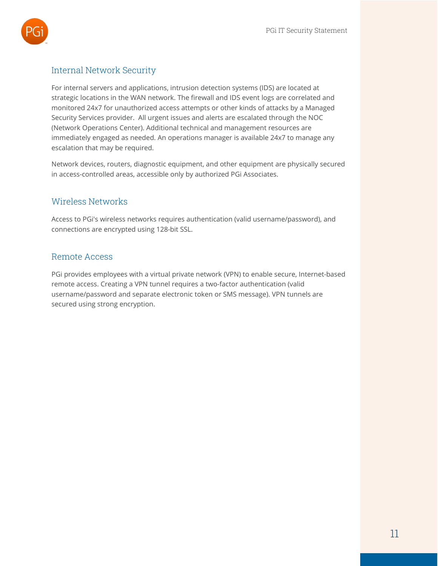

#### <span id="page-10-0"></span>Internal Network Security

For internal servers and applications, intrusion detection systems (IDS) are located at strategic locations in the WAN network. The firewall and IDS event logs are correlated and monitored 24x7 for unauthorized access attempts or other kinds of attacks by a Managed Security Services provider. All urgent issues and alerts are escalated through the NOC (Network Operations Center). Additional technical and management resources are immediately engaged as needed. An operations manager is available 24x7 to manage any escalation that may be required.

Network devices, routers, diagnostic equipment, and other equipment are physically secured in access-controlled areas, accessible only by authorized PGi Associates.

#### <span id="page-10-1"></span>Wireless Networks

Access to PGi's wireless networks requires authentication (valid username/password), and connections are encrypted using 128-bit SSL.

#### <span id="page-10-2"></span>Remote Access

PGi provides employees with a virtual private network (VPN) to enable secure, Internet-based remote access. Creating a VPN tunnel requires a two-factor authentication (valid username/password and separate electronic token or SMS message). VPN tunnels are secured using strong encryption.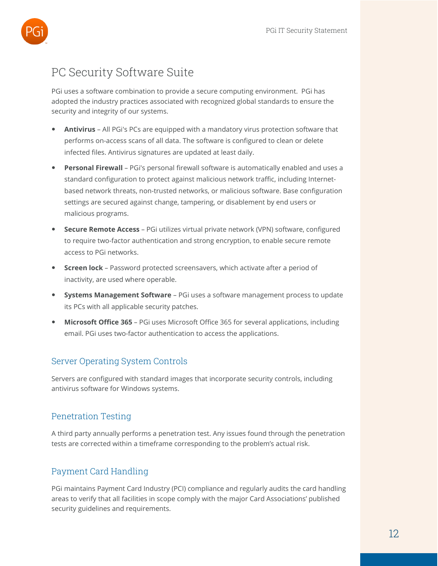

# <span id="page-11-0"></span>PC Security Software Suite

PGi uses a software combination to provide a secure computing environment. PGi has adopted the industry practices associated with recognized global standards to ensure the security and integrity of our systems.

- **Antivirus** All PGi's PCs are equipped with a mandatory virus protection software that performs on-access scans of all data. The software is configured to clean or delete infected files. Antivirus signatures are updated at least daily.
- **Personal Firewall** PGi's personal firewall software is automatically enabled and uses a standard configuration to protect against malicious network traffic, including Internetbased network threats, non-trusted networks, or malicious software. Base configuration settings are secured against change, tampering, or disablement by end users or malicious programs.
- **Secure Remote Access** PGi utilizes virtual private network (VPN) software, configured to require two-factor authentication and strong encryption, to enable secure remote access to PGi networks.
- **Screen lock** Password protected screensavers, which activate after a period of inactivity, are used where operable.
- **Systems Management Software** PGi uses a software management process to update its PCs with all applicable security patches.
- **Microsoft Office 365** PGi uses Microsoft Office 365 for several applications, including email. PGi uses two-factor authentication to access the applications.

#### <span id="page-11-1"></span>Server Operating System Controls

Servers are configured with standard images that incorporate security controls, including antivirus software for Windows systems.

#### <span id="page-11-2"></span>Penetration Testing

A third party annually performs a penetration test. Any issues found through the penetration tests are corrected within a timeframe corresponding to the problem's actual risk.

#### <span id="page-11-3"></span>Payment Card Handling

PGi maintains Payment Card Industry (PCI) compliance and regularly audits the card handling areas to verify that all facilities in scope comply with the major Card Associations' published security guidelines and requirements.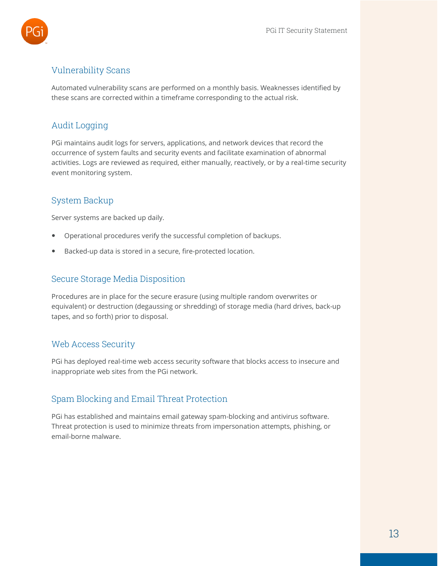

#### <span id="page-12-0"></span>Vulnerability Scans

Automated vulnerability scans are performed on a monthly basis. Weaknesses identified by these scans are corrected within a timeframe corresponding to the actual risk.

#### <span id="page-12-1"></span>Audit Logging

PGi maintains audit logs for servers, applications, and network devices that record the occurrence of system faults and security events and facilitate examination of abnormal activities. Logs are reviewed as required, either manually, reactively, or by a real-time security event monitoring system.

#### <span id="page-12-2"></span>System Backup

Server systems are backed up daily.

- Operational procedures verify the successful completion of backups.
- <span id="page-12-3"></span>Backed-up data is stored in a secure, fire-protected location.

#### Secure Storage Media Disposition

Procedures are in place for the secure erasure (using multiple random overwrites or equivalent) or destruction (degaussing or shredding) of storage media (hard drives, back-up tapes, and so forth) prior to disposal.

#### <span id="page-12-4"></span>Web Access Security

PGi has deployed real-time web access security software that blocks access to insecure and inappropriate web sites from the PGi network.

#### <span id="page-12-5"></span>Spam Blocking and Email Threat Protection

PGi has established and maintains email gateway spam-blocking and antivirus software. Threat protection is used to minimize threats from impersonation attempts, phishing, or email-borne malware.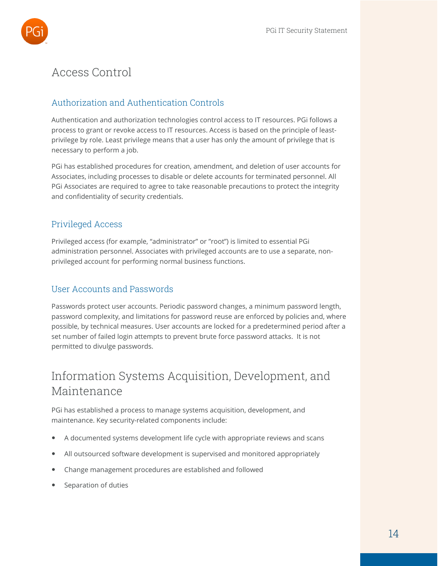

# <span id="page-13-1"></span><span id="page-13-0"></span>Access Control

#### Authorization and Authentication Controls

Authentication and authorization technologies control access to IT resources. PGi follows a process to grant or revoke access to IT resources. Access is based on the principle of leastprivilege by role. Least privilege means that a user has only the amount of privilege that is necessary to perform a job.

PGi has established procedures for creation, amendment, and deletion of user accounts for Associates, including processes to disable or delete accounts for terminated personnel. All PGi Associates are required to agree to take reasonable precautions to protect the integrity and confidentiality of security credentials.

#### <span id="page-13-2"></span>Privileged Access

Privileged access (for example, "administrator" or "root") is limited to essential PGi administration personnel. Associates with privileged accounts are to use a separate, nonprivileged account for performing normal business functions.

#### <span id="page-13-3"></span>User Accounts and Passwords

Passwords protect user accounts. Periodic password changes, a minimum password length, password complexity, and limitations for password reuse are enforced by policies and, where possible, by technical measures. User accounts are locked for a predetermined period after a set number of failed login attempts to prevent brute force password attacks. It is not permitted to divulge passwords.

# <span id="page-13-4"></span>Information Systems Acquisition, Development, and Maintenance

PGi has established a process to manage systems acquisition, development, and maintenance. Key security-related components include:

- A documented systems development life cycle with appropriate reviews and scans
- All outsourced software development is supervised and monitored appropriately
- Change management procedures are established and followed
- Separation of duties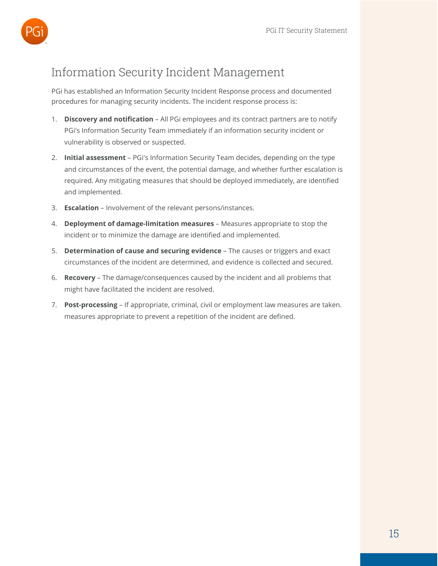

# <span id="page-14-0"></span>Information Security Incident Management

PGi has established an Information Security Incident Response process and documented procedures for managing security incidents. The incident response process is:

- 1. **Discovery and notification** All PGi employees and its contract partners are to notify PGi's Information Security Team immediately if an information security incident or vulnerability is observed or suspected.
- 2. **Initial assessment** PGi's Information Security Team decides, depending on the type and circumstances of the event, the potential damage, and whether further escalation is required. Any mitigating measures that should be deployed immediately, are identified and implemented.
- 3. **Escalation** Involvement of the relevant persons/instances.
- 4. **Deployment of damage-limitation measures** Measures appropriate to stop the incident or to minimize the damage are identified and implemented.
- 5. **Determination of cause and securing evidence** The causes or triggers and exact circumstances of the incident are determined, and evidence is collected and secured.
- 6. **Recovery** The damage/consequences caused by the incident and all problems that might have facilitated the incident are resolved.
- 7. **Post-processing** If appropriate, criminal, civil or employment law measures are taken. measures appropriate to prevent a repetition of the incident are defined.